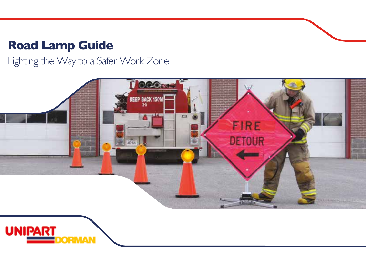# **Road Lamp Guide**

Lighting the Way to a Safer Work Zone



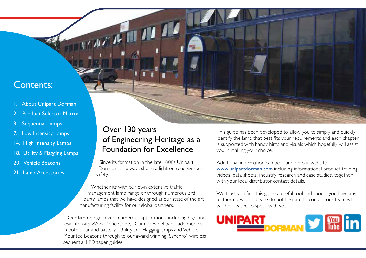## Contents:

- About Unipart Dorman
- **Product Selector Matrix**
- 3. Sequential Lamps
- 7. Low Intensity Lamps
- 14. High Intensity Lamps
- 18. Utility & Flagging Lamps
- 20. Vehicle Beacons
- 21. Lamp Accessories

## Over 130 years of Engineering Heritage as a Foundation for Excellence

Since its formation in the late 1800s Unipart Dorman has always shone a light on road worker safety.

Whether its with our own extensive traffic management lamp range or through numerous 3rd party lamps that we have designed at our state of the art manufacturing facility for our global partners.

Our lamp range covers numerous applications, including high and low intensity Work Zone Cone, Drum or Panel barricade models in both solar and battery. Utility and Flagging lamps and Vehicle Mounted Beacons through to our award winning 'Synchro', wireless sequential LED taper guides.

This guide has been developed to allow you to simply and quickly identify the lamp that best fits your requirements and each chapter is supported with handy hints and visuals which hopefully will assist you in making your choice.

Additional information can be found on our website www.unipartdorman.com including informational product training videos, data sheets, industry research and case studies, together with your local distributor contact details.

We trust you find this guide a useful tool and should you have any further questions please do not hesitate to contact our team who will be pleased to speak with you.

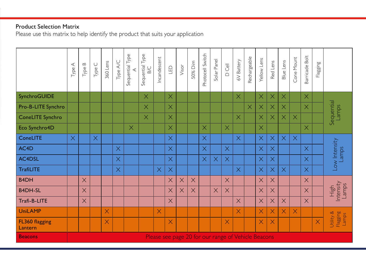### Product Selection Matrix

Please use this matrix to help identify the product that suits your application

|                           | ⋖<br>Type. | Type B   | $\cup$<br>Type | 360 Lens | Type A/C | Sequential Type | Sequential Type<br>B/C | Incandescent | G        | Visor    | 50% Dim                                             | Photocell Switch | Solar Panel | $\overline{\mathbb{C}}$<br>$\bigcap$ | 6V Battery | Rechargeable | Yellow Lens             | Red Lens | Blue Lens | Cone Mount | Barricade Bolt | Flagging |                                |
|---------------------------|------------|----------|----------------|----------|----------|-----------------|------------------------|--------------|----------|----------|-----------------------------------------------------|------------------|-------------|--------------------------------------|------------|--------------|-------------------------|----------|-----------|------------|----------------|----------|--------------------------------|
| SynchroGUIDE              |            |          |                |          |          |                 | $\times$               |              | $\times$ |          |                                                     |                  |             |                                      | $\times$   |              | $\times$                | $\times$ | $\times$  |            | $\times$       |          |                                |
| Pro-B-LITE Synchro        |            |          |                |          |          |                 | $\times$               |              | $\times$ |          |                                                     |                  |             |                                      |            | $\times$     | $\times$                | $\times$ | $\times$  |            | $\times$       |          | Sequential<br>Lamps            |
| ConeLITE Synchro          |            |          |                |          |          |                 | $\times$               |              | $\times$ |          |                                                     |                  |             |                                      | $\times$   |              | $\times$                | $\times$ | $\times$  | $\times$   |                |          |                                |
| Eco Synchro4D             |            |          |                |          |          | $\times$        |                        |              | $\times$ |          |                                                     | $\times$         |             | $\times$                             |            |              | $\times$                |          |           |            | $\times$       |          |                                |
| ConeLITE                  | $\times$   |          | $\times$       |          |          |                 |                        |              | $\times$ |          |                                                     | $\times$         |             |                                      | $\times$   |              | $\times$                | $\times$ | $\times$  | $\times$   |                |          |                                |
| AC4D                      |            |          |                |          | $\times$ |                 |                        |              | $\times$ |          |                                                     | $\times$         |             | $\times$                             |            |              | $\times$                | $\times$ |           |            | $\times$       |          | Low Intensity<br>Lamps         |
| AC4DSL                    |            |          |                |          | $\times$ |                 |                        |              | $\times$ |          |                                                     | $\times$         | $\times$    | $\times$                             |            |              | $\times$                | $\times$ |           |            | $\times$       |          |                                |
| <b>TrafiLITE</b>          |            |          |                |          | $\times$ |                 |                        | $\times$     | $\times$ |          |                                                     |                  |             |                                      | $\times$   |              | $\times$                | $\times$ | $\times$  |            | $\times$       |          |                                |
| <b>B4DH</b>               |            | $\times$ |                |          |          |                 |                        |              | $\times$ | $\times$ | $\times$                                            |                  |             | $\times$                             |            |              | $\times$                | $\times$ |           |            | $\times$       |          |                                |
| <b>B4DH-SL</b>            |            | $\times$ |                |          |          |                 |                        |              | $\times$ | $\times$ | $\times$                                            |                  | $\times$    | $\times$                             |            |              | $\times$                | $\times$ |           |            | $\times$       |          | High<br>Intensity<br>Lamps     |
| Trafi-B-LITE              |            | $\times$ |                |          |          |                 |                        |              | $\times$ |          |                                                     |                  |             |                                      | $\times$   |              | $\times$                | $\times$ | $\times$  |            | $\times$       |          |                                |
| <b>UniLAMP</b>            |            |          |                | $\times$ |          |                 |                        | $\times$     |          |          |                                                     |                  |             |                                      | $\times$   |              | $\overline{\mathsf{X}}$ | $\times$ | $\times$  | $\times$   |                |          |                                |
| FL360 flagging<br>Lantern |            |          |                | $\times$ |          |                 |                        |              | $\times$ |          |                                                     |                  |             | $\times$                             |            |              | Χ                       | $\times$ |           |            |                | $\times$ | Utility &<br>Flagging<br>Lamps |
| <b>Beacons</b>            |            |          |                |          |          |                 |                        |              |          |          | Please see page 20 for our range of Vehicle Beacons |                  |             |                                      |            |              |                         |          |           |            |                |          |                                |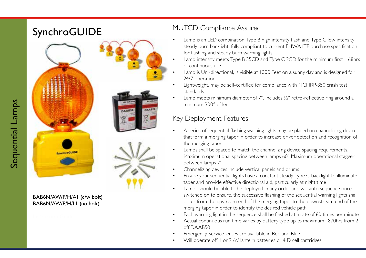# SynchroGUIDE MUTCD Compliance Assured



### BAB6N/AW/P/H/A1 (c/w bolt) BAB6N/AW/P/H/L1 (no bolt)

- Lamp is an LED combination Type B high intensity flash and Type C low intensity steady burn backlight, fully compliant to current FHWA ITE purchase specification for flashing and steady burn warning lights
- Lamp intensity meets Type B 35CD and Type C 2CD for the minimum first 168hrs of continuous use
- Lamp is Uni-directional, is visible at 1000 Feet on a sunny day and is designed for 24/7 operation
- Lightweight, may be self-certified for compliance with NCHRP-350 crash test standards
- Lamp meets minimum diameter of 7", includes  $\frac{1}{2}$ " retro-reflective ring around a minimum 300° of lens

- Key Deployment Features<br>• A series of sequential flashing warning lights may be placed on channelizing devices that form a merging taper in order to increase driver detection and recognition of the merging taper
- Lamps shall be spaced to match the channelizing device spacing requirements. Maximum operational spacing between lamps 60', Maximum operational stagger between lamps 7'
- Channelizing devices include vertical panels and drums
- Ensure your sequential lights have a constant steady Type C backlight to illuminate taper and provide effective directional aid, particularly at night time
- Lamps should be able to be deployed in any order and will auto sequence once switched on to ensure, the successive flashing of the sequential warning lights shall occur from the upstream end of the merging taper to the downstream end of the merging taper in order to identify the desired vehicle path
- Each warning light in the sequence shall be flashed at a rate of 60 times per minute
- Actual continuous run time varies by battery type up to maximum 1870hrs from 2 off DAAB50
- 
- Emergency Service lenses are available in Red and Blue<br>Will operate off 1 or 2 6V lantern batteries or 4 D cell cartridges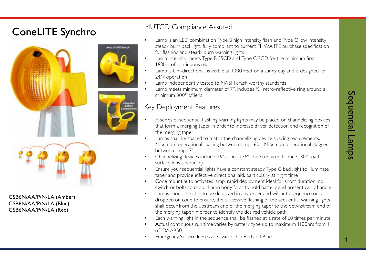# ConeLITE Synchro MUTCD Compliance Assured









CSB6N/AA/P/N/LA (Amber) CSB6N/AA/P/N/LA (Blue) CSB6N/AA/P/N/LA (Red)

- Lamp is an LED combination Type B high intensity flash and Type C low intensity steady burn backlight, fully compliant to current FHWA ITE purchase specification for flashing and steady burn warning lights
- Lamp Intensity meets Type B 35CD and Type C 2CD for the minimum first 168hrs of continuous use
- Lamp is Uni-directional, is visible at 1000 Feet on a sunny day and is designed for 24/7 operation
- Lamp independently tested to MASH crash worthy standards
- Lamp meets minimum diameter of 7", includes ½" retro-reflective ring around a minimum 300° of lens

- A series of sequential flashing warning lights may be placed on channelizing devices that form a merging taper in order to increase driver detection and recognition of the merging taper
- Lamps shall be spaced to match the channelizing device spacing requirements. Maximum operational spacing between lamps 60' , Maximum operational stagger between lamps 7'
- Channelizing devices include 36" cones. (36" cone required to meet 30" road surface lens clearance)
- Ensure your sequential lights have a constant steady Type C backlight to illuminate taper and provide effective directional aid, particularly at night time
- Cone mount auto activates lamp, rapid deployment ideal for short duration, no switch or bolts to drop. Lamp body folds to hold battery and present carry handle
- Lamps should be able to be deployed in any order and will auto sequence once dropped on cone to ensure, the successive flashing of the sequential warning lights shall occur from the upstream end of the merging taper to the downstream end of the merging taper in order to identify the desired vehicle path
- Each warning light in the sequence shall be flashed at a rate of 60 times per minute
- Actual continuous run time varies by battery type up to maximum 1100hrs from 1 off DAAB50
- Emergency Service lenses are available in Red and Blue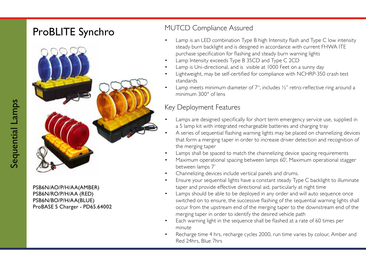# ProBLITE Synchro MUTCD Compliance Assured



PSB6N/AO/P/H/AA(AMBER) PSB6N/RO/P/H/AA (RED) PSB6N/BO/P/H/AA(BLUE) ProBASE 5 Charger - PD65.64002

- Lamp is an LED combination Type B high Intensity flash and Type C low intensity steady burn backlight and is designed in accordance with current FHWA ITE purchase specification for flashing and steady burn warning lights
- Lamp Intensity exceeds Type B 35CD and Type C 2CD
- Lamp is Uni-directional, and is visible at 1000 Feet on a sunny day
- Lightweight, may be self-certified for compliance with NCHRP-350 crash test standards
- Lamp meets minimum diameter of 7", includes  $\frac{1}{2}$ " retro-reflective ring around a minimum 300° of lens

- Lamps are designed specifically for short term emergency service use, supplied in a 5 lamp kit with integrated rechargeable batteries and charging tray
- A series of sequential flashing warning lights may be placed on channelizing devices that form a merging taper in order to increase driver detection and recognition of the merging taper
- Lamps shall be spaced to match the channelizing device spacing requirements
- Maximum operational spacing between lamps 60', Maximum operational stagger between lamps 7'
- Channelizing devices include vertical panels and drums.
- Ensure your sequential lights have a constant steady Type C backlight to illuminate taper and provide effective directional aid, particularly at night time
- Lamps should be able to be deployed in any order and will auto sequence once switched on to ensure, the successive flashing of the sequential warning lights shall occur from the upstream end of the merging taper to the downstream end of the merging taper in order to identify the desired vehicle path
- Each warning light in the sequence shall be flashed at a rate of 60 times per minute
- Recharge time 4 hrs, recharge cycles 2000, run time varies by colour, Amber and Red 24hrs, Blue 7hrs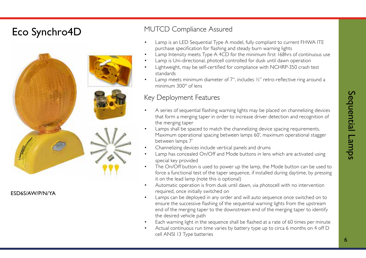## Eco Synchro4D MUTCD Compliance Assured



ESD6S/AW/P/N/YA

- Lamp is an LED Sequential Type A model, fully compliant to current FHWA ITE purchase specification for flashing and steady burn warning lights
- Lamp Intensity meets Type A 4CD for the minimum first 168hrs of continuous use
- Lamp is Uni-directional, photcell controlled for dusk until dawn operation
- Lightweight, may be self-certified for compliance with NCHRP-350 crash test standards
- Lamp meets minimum diameter of 7", includes  $\frac{1}{2}$ " retro-reflective ring around a minimum 300° of lens

- Key Deployment Features<br>• A series of sequential flashing warning lights may be placed on channelizing devices that form a merging taper in order to increase driver detection and recognition of the merging taper
- Lamps shall be spaced to match the channelizing device spacing requirements. Maximum operational spacing between lamps 60', maximum operational stagger between lamps 7'
- Channelizing devices include vertical panels and drums
- Lamp has concealed On/Off and Mode buttons in lens which are activated using special key provided
- The On/Off button is used to power up the lamp, the Mode button can be used to force a functional test of the taper sequence, if installed during daytime, by pressing it on the lead lamp (note this is optional)
- Automatic operation is from dusk until dawn, via photocell with no intervention required, once initially switched on
- Lamps can be deployed in any order and will auto sequence once switched on to ensure the successive flashing of the sequential warning lights from the upstream end of the merging taper to the downstream end of the merging taper to identify the desired vehicle path
- Each warning light in the sequence shall be flashed at a rate of 60 times per minute
- Actual continuous run time varies by battery type up to circa 6 months on 4 off D cell ANSI 13 Type batteries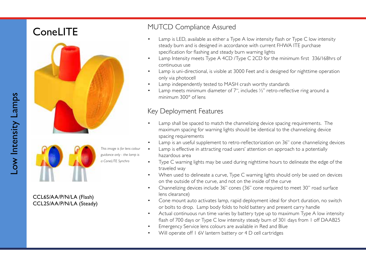



*This image is for lens colour guidance only - the lamp is a ConeLITE Synchro*

### CCL6S/AA/P/N/LA (Flash) CCL2S/AA/P/N/LA (Steady)

## ConeLITE MUTCD Compliance Assured

- Lamp is LED, available as either a Type A low intensity flash or Type C low intensity steady burn and is designed in accordance with current FHWA ITE purchase specification for flashing and steady burn warning lights
- Lamp Intensity meets Type A 4CD /Type C 2CD for the minimum first 336/168hrs of continuous use
- Lamp is uni-directional, is visible at 3000 Feet and is designed for nighttime operation only via photocell
- Lamp independently tested to MASH crash worthy standards
- Lamp meets minimum diameter of 7", includes  $\frac{1}{2}$ " retro-reflective ring around a minimum 300° of lens

- Lamp shall be spaced to match the channelizing device spacing requirements. The maximum spacing for warning lights should be identical to the channelizing device spacing requirements
- Lamp is an useful supplement to retro-reflectorization on 36" cone channelizing devices
- Lamp is effective in attracting road users' attention on approach to a potentially hazardous area
- Type C warning lights may be used during nighttime hours to delineate the edge of the traveled way
- When used to delineate a curve, Type C warning lights should only be used on devices on the outside of the curve, and not on the inside of the curve
- Channelizing devices include 36" cones (36" cone required to meet 30" road surface lens clearance)
- Cone mount auto activates lamp, rapid deployment ideal for short duration, no switch or bolts to drop. Lamp body folds to hold battery and present carry handle
- Actual continuous run time varies by battery type up to maximum Type A low intensity flash of 700 days or Type C low intensity steady burn of 301 days from 1 off DAAB25
- Emergency Service lens colours are available in Red and Blue
- Will operate off 1 6V lantern battery or 4 D cell cartridges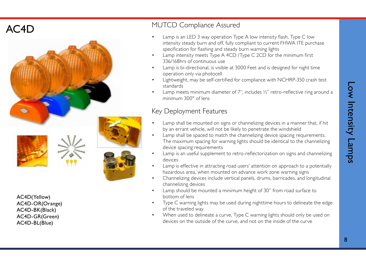

AC4D(Yellow) AC4D-OR(Orange) AC4D-BK(Black) AC4D-GR(Green) AC4D-BL(Blue)

- AC4D MUTCD Compliance Assured<br>• Lamp is an LED 3 way operation Type A low intensity flash, Type C low intensity steady burn and off, fully compliant to current FHWA ITE purchase specification for flashing and steady burn warning lights
	- Lamp intensity meets Type A 4CD /Type C 2CD for the minimum first 336/168hrs of continuous use
	- Lamp is bi-directional, is visible at 3000 Feet and is designed for night time operation only via photocell
	- Lightweight, may be self-certified for compliance with NCHRP-350 crash test standards
	- Lamp meets minimum diameter of 7", includes  $\frac{1}{2}$ " retro-reflective ring around a minimum 300° of lens

- Key Deployment Features<br>• Lamp shall be mounted on signs or channelizing devices in a manner that, if hit by an errant vehicle, will not be likely to penetrate the windshield
- Lamp shall be spaced to match the channelizing device spacing requirements. The maximum spacing for warning lights should be identical to the channelizing device spacing requirements
- Lamp is an useful supplement to retro-reflectorization on signs and channelizing devices
- Lamp is effective in attracting road users' attention on approach to a potentially hazardous area, when mounted on advance work zone warning signs
- Channelizing devices include vertical panels, drums, barricades, and longitudinal channelizing devices
- Lamp should be mounted a minimum height of 30" from road surface to bottom of lens
- Type C warning lights may be used during nighttime hours to delineate the edge of the traveled way
- When used to delineate a curve, Type C warning lights should only be used on devices on the outside of the curve, and not on the inside of the curve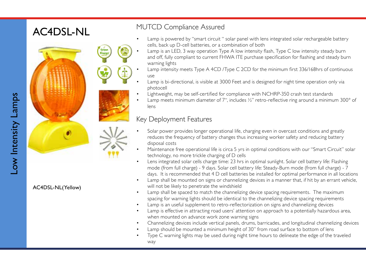# AC4DSL-NL





- Lamp is powered by "smart circuit " solar panel with lens integrated solar rechargeable battery cells, back up D-cell batteries, or a combination of both
- Lamp is an LED, 3 way operation Type A low intensity flash, Type C low intensity steady burn and off, fully compliant to current FHWA ITE purchase specification for flashing and steady burn warning lights
- Lamp intensity meets Type A 4CD /Type C 2CD for the minimum first 336/168hrs of continuous use
- Lamp is bi-directional, is visible at 3000 Feet and is designed for night time operation only via photocell
- Lightweight, may be self-certified for compliance with NCHRP-350 crash test standards
- Lamp meets minimum diameter of 7", includes ½" retro-reflective ring around a minimum 300° of lens

### Key Deployment Features

- Solar power provides longer operational life, charging even in overcast conditions and greatly reduces the frequency of battery changes thus increasing worker safety and reducing battery disposal costs
- Maintenance free operational life is circa 5 yrs in optimal conditions with our "Smart Circuit" solar technology, no more trickle charging of D cells
- Lens integrated solar cells charge time: 23 hrs in optimal sunlight. Solar cell battery life: Flashing mode (from full charge) - 9 days. Solar cell battery life: Steady-Burn mode (from full charge) - 7 days. It is recommended that 4 D cell batteries be installed for optimal performance in all locations
- Lamp shall be mounted on signs or channelizing devices in a manner that, if hit by an errant vehicle, will not be likely to penetrate the windshield
- Lamp shall be spaced to match the channelizing device spacing requirements. The maximum spacing for warning lights should be identical to the channelizing device spacing requirements
- Lamp is an useful supplement to retro-reflectorization on signs and channelizing devices
- Lamp is effective in attracting road users' attention on approach to a potentially hazardous area, when mounted on advance work zone warning signs
- Channelizing devices include vertical panels, drums, barricades, and longitudinal channelizing devices
- Lamp should be mounted a minimum height of 30" from road surface to bottom of lens
- Type C warning lights may be used during night time hours to delineate the edge of the traveled way

AC4DSL-NL(Yellow)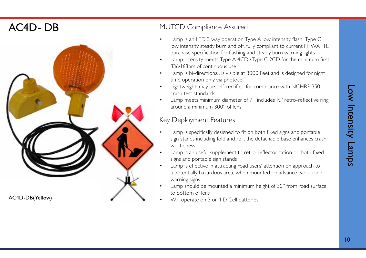## AC4D- DB



### MUTCD Compliance Assured

- Lamp is an LED 3 way operation Type A low intensity flash, Type C low intensity steady burn and off, fully compliant to current FHWA ITE purchase specification for flashing and steady burn warning lights
- Lamp intensity meets Type A 4CD /Type C 2CD for the minimum first 336/168hrs of continuous use
- Lamp is bi-directional, is visible at 3000 Feet and is designed for night time operation only via photocell
- Lightweight, may be self-certified for compliance with NCHRP-350 crash test standards
- Lamp meets minimum diameter of 7", includes  $\frac{1}{2}$ " retro-reflective ring around a minimum 300° of lens

- Lamp is specifically designed to fit on both fixed signs and portable sign stands including fold and roll, the detachable base enhances crash worthiness
- Lamp is an useful supplement to retro-reflectorization on both fixed signs and portable sign stands
- Lamp is effective in attracting road users' attention on approach to a potentially hazardous area, when mounted on advance work zone warning signs
- Lamp should be mounted a minimum height of 30" from road surface to bottom of lens
-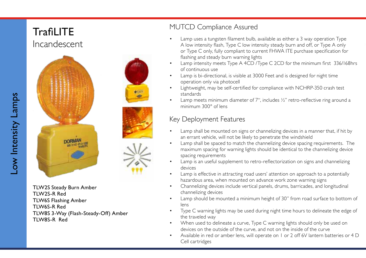## **TrafiLITE** Incandescent





TLW2S Steady Burn Amber TLW2S-R Red TLW6S Flashing Amber TLW6S-R Red TLW8S 3-Way (Flash-Steady-Off) Amber TLW8S-R Red

## MUTCD Compliance Assured

- Lamp uses a tungsten filament bulb, available as either a 3 way operation Type A low intensity flash, Type C low intensity steady burn and off, or Type A only or Type C only, fully compliant to current FHWA ITE purchase specification for flashing and steady burn warning lights
- Lamp intensity meets Type A 4CD /Type C 2CD for the minimum first 336/168hrs of continuous use
- Lamp is bi-directional, is visible at 3000 Feet and is designed for night time operation only via photocell
- Lightweight, may be self-certified for compliance with NCHRP-350 crash test standards
- Lamp meets minimum diameter of 7", includes  $\frac{1}{2}$ " retro-reflective ring around a minimum 300° of lens

## Key Deployment Features

- Lamp shall be mounted on signs or channelizing devices in a manner that, if hit by an errant vehicle, will not be likely to penetrate the windshield
- Lamp shall be spaced to match the channelizing device spacing requirements. The maximum spacing for warning lights should be identical to the channelizing device spacing requirements
- Lamp is an useful supplement to retro-reflectorization on signs and channelizing devices
- Lamp is effective in attracting road users' attention on approach to a potentially hazardous area, when mounted on advance work zone warning signs
- Channelizing devices include vertical panels, drums, barricades, and longitudinal channelizing devices
- Lamp should be mounted a minimum height of 30" from road surface to bottom of lens
- Type C warning lights may be used during night time hours to delineate the edge of the traveled way
- When used to delineate a curve, Type C warning lights should only be used on devices on the outside of the curve, and not on the inside of the curve
- Available in red or amber lens, will operate on 1 or 2 off 6V lantern batteries or 4 D Cell cartridges

Low Intensity Lamps Low Intensity Lamps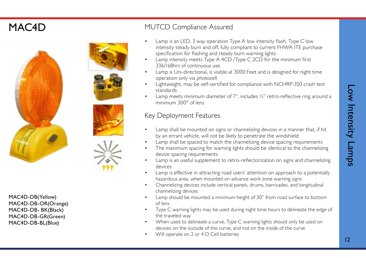## MAC4D











MAC4D-DB(Yellow) MAC4D-DB-OR(Orange) MAC4D-DB- BK(Black) MAC4D-DB-GR(Green) MAC4D-DB-BL(Blue)

- MUTCD Compliance Assured<br>• Lamp is an LED, 3 way operation Type A low intensity flash, Type C low intensity steady burn and off, fully compliant to current FHWA ITE purchase specification for flashing and steady burn warning lights
- Lamp intensity meets Type A 4CD /Type C 2CD for the minimum first 336/168hrs of continuous use
- Lamp is Uni-directional, is visible at 3000 Feet and is designed for night time operation only via photocell
- Lightweight, may be self-certified for compliance with NCHRP-350 crash test standards
- Lamp meets minimum diameter of 7", includes  $\frac{1}{2}$ " retro-reflective ring around a minimum 300° of lens

- Key Deployment Features<br>• Lamp shall be mounted on signs or channelizing devices in a manner that, if hit by an errant vehicle, will not be likely to penetrate the windshield
- Lamp shall be spaced to match the channelizing device spacing requirements
- The maximum spacing for warning lights should be identical to the channelizing device spacing requirements
- Lamp is an useful supplement to retro-reflectorization on signs and channelizing devices
- Lamp is effective in attracting road users' attention on approach to a potentially hazardous area, when mounted on advance work zone warning signs
- Channelizing devices include vertical panels, drums, barricades, and longitudinal channelizing devices
- Lamp should be mounted a minimum height of 30" from road surface to bottom of lens
- Type C warning lights may be used during night time hours to delineate the edge of the traveled way
- When used to delineate a curve, Type C warning lights should only be used on devices on the outside of the curve, and not on the inside of the curve
- Will operate on 2 or 4 D Cell batteries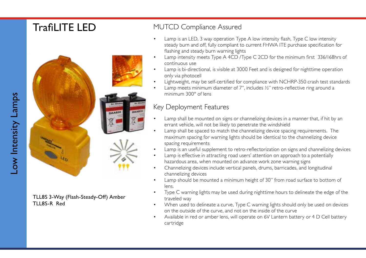

TLL8S 3-Way (Flash-Steady-Off) Amber TLL8S-R Red

## **TrafiLITE LED** MUTCD Compliance Assured

- Lamp is an LED, 3 way operation Type A low intensity flash, Type C low intensity steady burn and off, fully compliant to current FHWA ITE purchase specification for flashing and steady burn warning lights
- Lamp intensity meets Type A 4CD /Type C 2CD for the minimum first 336/168hrs of continuous use
- Lamp is bi-directional, is visible at 3000 Feet and is designed for nighttime operation only via photocell
- Lightweight, may be self-certified for compliance with NCHRP-350 crash test standards
- Lamp meets minimum diameter of 7", includes  $\frac{1}{2}$ " retro-reflective ring around a minimum 300° of lens

- Lamp shall be mounted on signs or channelizing devices in a manner that, if hit by an errant vehicle, will not be likely to penetrate the windshield
- Lamp shall be spaced to match the channelizing device spacing requirements. The maximum spacing for warning lights should be identical to the channelizing device spacing requirements
- Lamp is an useful supplement to retro-reflectorization on signs and channelizing devices
- Lamp is effective in attracting road users' attention on approach to a potentially hazardous area, when mounted on advance work zone warning signs
- Channelizing devices include vertical panels, drums, barricades, and longitudinal channelizing devices
- Lamp should be mounted a minimum height of 30" from road surface to bottom of lens.
- Type C warning lights may be used during nighttime hours to delineate the edge of the traveled way
- When used to delineate a curve, Type C warning lights should only be used on devices on the outside of the curve, and not on the inside of the curve
- Available in red or amber lens, will operate on 6V Lantern battery or 4 D Cell battery cartridge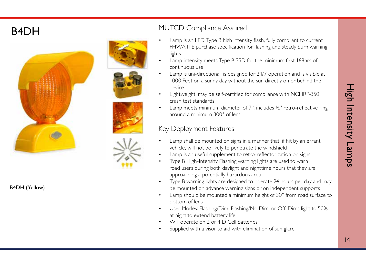

B4DH (Yellow)

## **B4DH** MUTCD Compliance Assured

- Lamp is an LED Type B high intensity flash, fully compliant to current FHWA ITE purchase specification for flashing and steady burn warning lights
- Lamp intensity meets Type B 35D for the minimum first 168hrs of continuous use
- Lamp is uni-directional, is designed for 24/7 operation and is visible at 1000 Feet on a sunny day without the sun directly on or behind the device
- Lightweight, may be self-certified for compliance with NCHRP-350 crash test standards
- Lamp meets minimum diameter of  $7$ ", includes  $\frac{1}{2}$ " retro-reflective ring around a minimum 300° of lens

- Key Deployment Features<br>• Lamp shall be mounted on signs in a manner that, if hit by an errant vehicle, will not be likely to penetrate the windshield
- Lamp is an useful supplement to retro-reflectorization on signs
- Type B High-Intensity Flashing warning lights are used to warn road users during both daylight and nighttime hours that they are approaching a potentially hazardous area
- Type B warning lights are designed to operate 24 hours per day and may be mounted on advance warning signs or on independent supports
- Lamp should be mounted a minimum height of 30" from road surface to bottom of lens
- User Modes: Flashing/Dim, Flashing/No Dim, or Off. Dims light to 50% at night to extend battery life
- Will operate on 2 or 4 D Cell batteries
- Supplied with a visor to aid with elimination of sun glare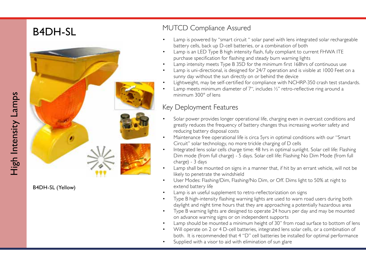

B4DH-SL (Yellow)

- B4DH-SL MUTCD Compliance Assured<br>• Lamp is powered by "smart circuit " solar panel with lens integrated solar rechargeable battery cells, back up D-cell batteries, or a combination of both
	- Lamp is an LED Type B high intensity flash, fully compliant to current FHWA ITE purchase specification for flashing and steady burn warning lights
	- Lamp intensity meets Type B 35D for the minimum first 168hrs of continuous use
	- Lamp is uni-directional, is designed for 24/7 operation and is visible at 1000 Feet on a sunny day without the sun directly on or behind the device
	- Lightweight, may be self-certified for compliance with NCHRP-350 crash test standards.
	- Lamp meets minimum diameter of 7", includes  $\frac{1}{2}$ " retro-reflective ring around a minimum 300° of lens

- Key Deployment Features<br>• Solar power provides longer operational life, charging even in overcast conditions and greatly reduces the frequency of battery changes thus increasing worker safety and reducing battery disposal costs
- Maintenance free operational life is circa 5yrs in optimal conditions with our "Smart Circuit" solar technology, no more trickle charging of D cells
- Integrated lens solar cells charge time: 48 hrs in optimal sunlight. Solar cell life: Flashing Dim mode (from full charge) - 5 days. Solar cell life: Flashing No Dim Mode (from full charge) - 3 days
- Lamp shall be mounted on signs in a manner that, if hit by an errant vehicle, will not be likely to penetrate the windshield
- User Modes: Flashing/Dim, Flashing/No Dim, or Off. Dims light to 50% at night to extend battery life
- Lamp is an useful supplement to retro-reflectorization on signs
- Type B high-intensity flashing warning lights are used to warn road users during both daylight and night time hours that they are approaching a potentially hazardous area
- Type B warning lights are designed to operate 24 hours per day and may be mounted on advance warning signs or on independent supports
- Lamp should be mounted a minimum height of 30" from road surface to bottom of lens
- Will operate on 2 or 4 D-cell batteries, integrated lens solar cells, or a combination of both. It is recommended that 4 "D" cell batteries be installed for optimal performance
- Supplied with a visor to aid with elimination of sun glare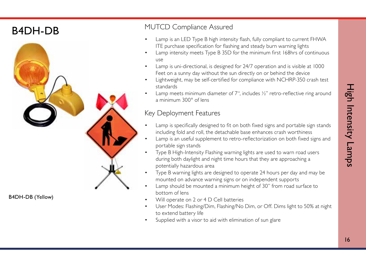## B4DH-DB



B4DH-DB (Yellow)

### MUTCD Compliance Assured

- Lamp is an LED Type B high intensity flash, fully compliant to current FHWA ITE purchase specification for flashing and steady burn warning lights
- Lamp intensity meets Type B 35D for the minimum first 168hrs of continuous use
- Lamp is uni-directional, is designed for 24/7 operation and is visible at 1000 Feet on a sunny day without the sun directly on or behind the device
- Lightweight, may be self-certified for compliance with NCHRP-350 crash test standards
- Lamp meets minimum diameter of 7", includes  $\frac{1}{2}$ " retro-reflective ring around a minimum 300° of lens

- Lamp is specifically designed to fit on both fixed signs and portable sign stands including fold and roll, the detachable base enhances crash worthiness
- Lamp is an useful supplement to retro-reflectorization on both fixed signs and portable sign stands
- Type B High-Intensity Flashing warning lights are used to warn road users during both daylight and night time hours that they are approaching a potentially hazardous area
- Type B warning lights are designed to operate 24 hours per day and may be mounted on advance warning signs or on independent supports
- Lamp should be mounted a minimum height of 30" from road surface to bottom of lens
- Will operate on 2 or 4 D Cell batteries
- User Modes: Flashing/Dim, Flashing/No Dim, or Off. Dims light to 50% at night to extend battery life
- Supplied with a visor to aid with elimination of sun glare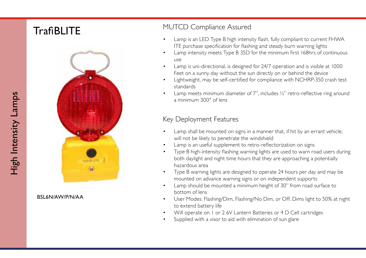

BSL6N/AW/P/N/AA

# TrafiBLITE MUTCD Compliance Assured<br>  $\bullet$  Lamp is an LED Type B bigh intensi

- Lamp is an LED Type B high intensity flash, fully compliant to current FHWA ITE purchase specification for flashing and steady burn warning lights
- Lamp intensity meets Type B 35D for the minimum first 168hrs of continuous use
- Lamp is uni-directional, is designed for 24/7 operation and is visible at 1000 Feet on a sunny day without the sun directly on or behind the device
- Lightweight, may be self-certified for compliance with NCHRP-350 crash test standards
- Lamp meets minimum diameter of 7", includes  $\frac{1}{2}$ " retro-reflective ring around a minimum 300° of lens

- Lamp shall be mounted on signs in a manner that, if hit by an errant vehicle, will not be likely to penetrate the windshield
- Lamp is an useful supplement to retro-reflectorization on signs
- Type B high-intensity flashing warning lights are used to warn road users during both daylight and night time hours that they are approaching a potentially hazardous area
- Type B warning lights are designed to operate 24 hours per day and may be mounted on advance warning signs or on independent supports
- Lamp should be mounted a minimum height of 30" from road surface to bottom of lens
- User Modes: Flashing/Dim, Flashing/No Dim, or Off. Dims light to 50% at night to extend battery life
- Will operate on 1 or 2 6V Lantern Batteries or 4 D Cell cartridges Supplied with a visor to aid with elimination of sun glare
-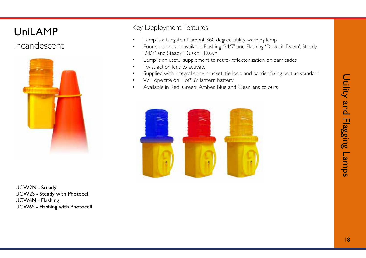## UniLAMP

## Incandescent



UCW2N - Steady UCW2S - Steady with Photocell UCW6N - Flashing UCW6S - Flashing with Photocell

- Lamp is a tungsten filament 360 degree utility warning lamp
- Four versions are available Flashing '24/7' and Flashing 'Dusk till Dawn', Steady '24/7' and Steady 'Dusk till Dawn'
- Lamp is an useful supplement to retro-reflectorization on barricades
- Twist action lens to activate
- Supplied with integral cone bracket, tie loop and barrier fixing bolt as standard
- Will operate on 1 off 6V lantern battery
- Available in Red, Green, Amber, Blue and Clear lens colours

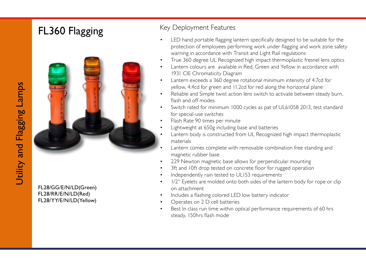# FL360 Flagging Key Deployment Features



FL28/GG/E/N/LD(Green) FL28/RR/E/N/LD(Red) FL28/YY/E/N/LD(Yellow)

- LED hand portable flagging lantern specifically designed to be suitable for the protection of employees performing work under flagging and work zone safety warning in accordance with Transit and Light Rail regulations
- True 360 degree UL Recognized high impact thermoplastic fresnel lens optics
- Lantern colours are available in Red, Green and Yellow in accordance with 1931 CIE Chromaticity Diagram
- Lantern exceeds a 360 degree rotational minimum intensity of 4.7cd for yellow, 4.4cd for green and 11.2cd for red along the horizontal plane
- Reliable and Simple twist action lens switch to activate between steady burn, flash and off modes
- Switch rated for minimum 1000 cycles as pat of UL61058 2013, test standard for special-use switches
- Flash Rate 90 times per minute
- Lightweight at 650g including base and batteries
- Lantern body is constructed from UL Recognized high impact thermoplastic materials
- Lantern comes complete with removable combination free standing and magnetic rubber base
- 229 Newton magnetic base allows for perpendicular mounting
- 3ft and 10ft drop tested on concrete floor for rugged operation
- Independently rain tested to UL153 requirements
- 1/2" Eyelets are molded onto both sides of the lantern body for rope or clip on attachment
- Includes a flashing colored LED low battery indicator
- Operates on 2 D cell batteries
- Best In class run time within optical performance requirements of 60 hrs steady, 150hrs flash mode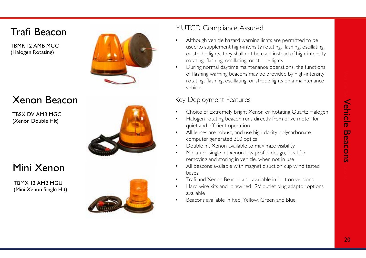## Trafi Beacon

TBMR 12 AMB MGC (Halogen Rotating)



## Xenon Beacon

TBSX DV AMB MGC (Xenon Double Hit)



## Mini Xenon

TBMX 12 AMB MGU (Mini Xenon Single Hit)

### MUTCD Compliance Assured

- Although vehicle hazard warning lights are permitted to be used to supplement high-intensity rotating, flashing, oscillating, or strobe lights, they shall not be used instead of high-intensity rotating, flashing, oscillating, or strobe lights
- During normal daytime maintenance operations, the functions of flashing warning beacons may be provided by high-intensity rotating, flashing, oscillating, or strobe lights on a maintenance vehicle

- Key Deployment Features<br>• Choice of Extremely bright Xenon or Rotating Quartz Halogen
- Halogen rotating beacon runs directly from drive motor for quiet and efficient operation
- All lenses are robust, and use high clarity polycarbonate computer generated 360 optics
- Double hit Xenon available to maximize visibility
- Miniature single hit xenon low profile design, ideal for removing and storing in vehicle, when not in use
- All beacons available with magnetic suction cup wind tested bases
- Trafi and Xenon Beacon also available in bolt on versions
- Hard wire kits and prewired 12V outlet plug adaptor options available
- Beacons available in Red, Yellow, Green and Blue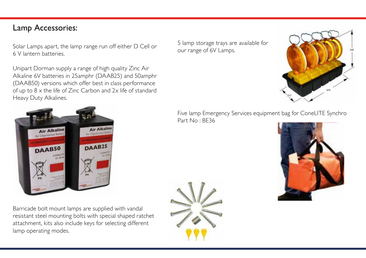### Lamp Accessories:

Solar Lamps apart, the lamp range run off either D Cell or 6 V lantern batteries.

Unipart Dorman supply a range of high quality Zinc Air Alkaline 6V batteries in 25amphr (DAAB25) and 50amphr (DAAB50) versions which offer best in class performance of up to 8 x the life of Zinc Carbon and 2x life of standard Heavy Duty Alkalines.



Barricade bolt mount lamps are supplied with vandal resistant steel mounting bolts with special shaped ratchet attachment, kits also include keys for selecting different lamp operating modes.

5 lamp storage trays are available for our range of 6V Lamps.



Five lamp Emergency Services equipment bag for ConeLITE Synchro Part No : BE36